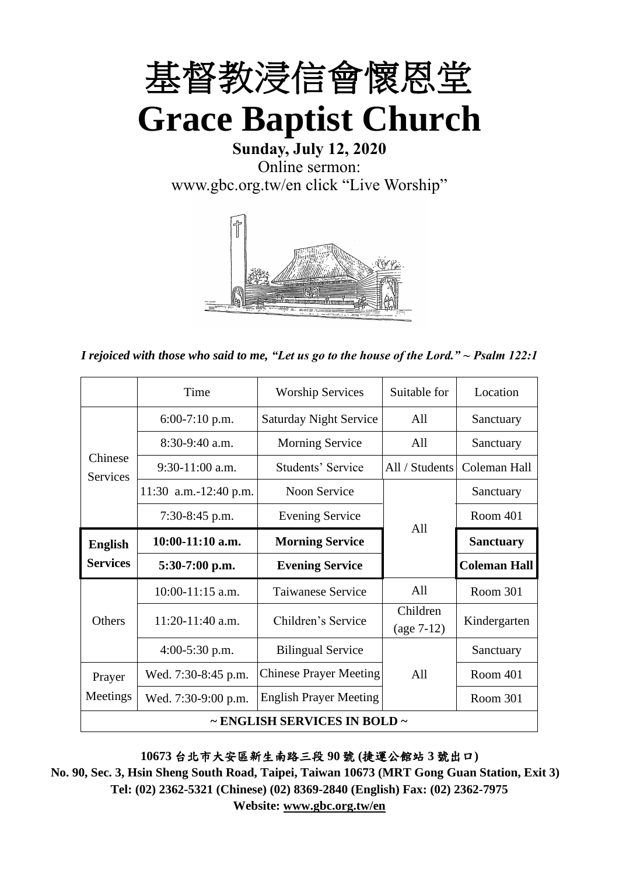

**Sunday, July 12, 2020** Online sermon: [www.gbc.org.tw/en](http://www.gbc.org.tw/en) click "Live Worship"



*I rejoiced with those who said to me, "Let us go to the house of the Lord." ~ Psalm 122:1*

|                            | Time                  | <b>Worship Services</b>       | Suitable for             | Location            |
|----------------------------|-----------------------|-------------------------------|--------------------------|---------------------|
|                            | $6:00-7:10$ p.m.      | <b>Saturday Night Service</b> | All                      | Sanctuary           |
|                            | 8:30-9:40 a.m.        | <b>Morning Service</b>        | All                      | Sanctuary           |
| Chinese<br><b>Services</b> | $9:30-11:00$ a.m.     | Students' Service             | All / Students           | Coleman Hall        |
|                            | 11:30 a.m.-12:40 p.m. | Noon Service                  |                          | Sanctuary           |
|                            | $7:30-8:45$ p.m.      | <b>Evening Service</b>        | A11                      | Room 401            |
| <b>English</b>             | $10:00-11:10$ a.m.    | <b>Morning Service</b>        |                          | <b>Sanctuary</b>    |
| <b>Services</b>            | $5:30-7:00$ p.m.      | <b>Evening Service</b>        |                          | <b>Coleman Hall</b> |
|                            |                       |                               |                          |                     |
|                            | $10:00-11:15$ a.m.    | Taiwanese Service             | All                      | Room 301            |
| Others                     | 11:20-11:40 a.m.      | Children's Service            | Children<br>$(age 7-12)$ | Kindergarten        |
|                            | $4:00-5:30$ p.m.      | <b>Bilingual Service</b>      |                          | Sanctuary           |
| Prayer                     | Wed. 7:30-8:45 p.m.   | <b>Chinese Prayer Meeting</b> | A11                      | Room 401            |
| Meetings                   | Wed. 7:30-9:00 p.m.   | <b>English Prayer Meeting</b> |                          | Room 301            |

**10673** 台北市大安區新生南路三段 **90** 號 **(**捷運公館站 **3** 號出口**)**

**No. 90, Sec. 3, Hsin Sheng South Road, Taipei, Taiwan 10673 (MRT Gong Guan Station, Exit 3) Tel: (02) 2362-5321 (Chinese) (02) 8369-2840 (English) Fax: (02) 2362-7975**

**Website: www.gbc.org.tw/en**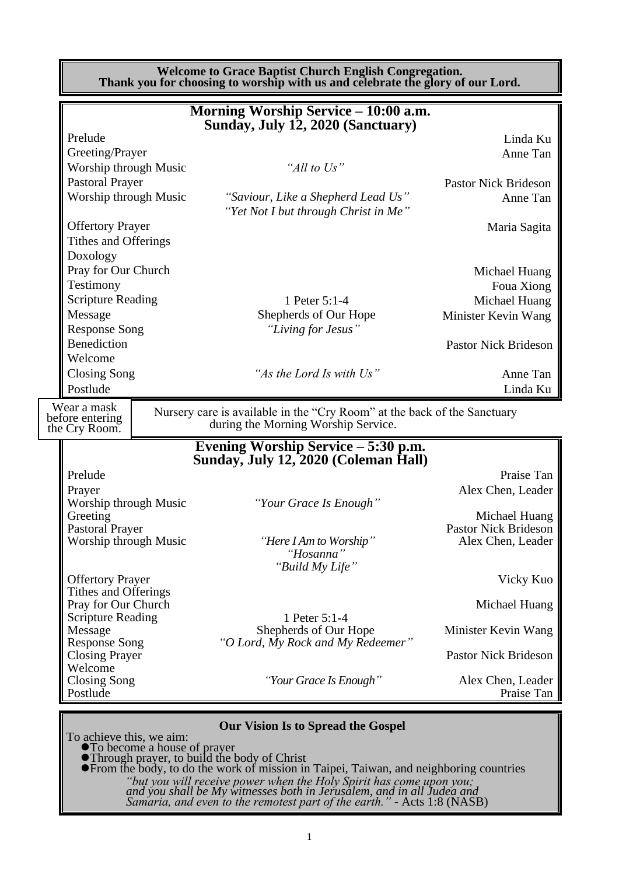|                                                 | <b>Welcome to Grace Baptist Church English Congregation.</b><br>Thank you for choosing to worship with us and celebrate the glory of our Lord. |                                              |
|-------------------------------------------------|------------------------------------------------------------------------------------------------------------------------------------------------|----------------------------------------------|
|                                                 | Morning Worship Service - 10:00 a.m.<br>Sunday, July 12, 2020 (Sanctuary)                                                                      |                                              |
| Prelude<br>Greeting/Prayer                      |                                                                                                                                                | Linda Ku<br>Anne Tan                         |
| Worship through Music                           | "All to Us"                                                                                                                                    |                                              |
| <b>Pastoral Prayer</b>                          |                                                                                                                                                | <b>Pastor Nick Brideson</b>                  |
| Worship through Music                           | "Saviour, Like a Shepherd Lead Us"<br>"Yet Not I but through Christ in Me"                                                                     | Anne Tan                                     |
| <b>Offertory Prayer</b><br>Tithes and Offerings |                                                                                                                                                | Maria Sagita                                 |
| Doxology                                        |                                                                                                                                                |                                              |
| Pray for Our Church                             |                                                                                                                                                | Michael Huang                                |
| Testimony                                       |                                                                                                                                                | Foua Xiong                                   |
| <b>Scripture Reading</b>                        | 1 Peter 5:1-4                                                                                                                                  | Michael Huang                                |
| Message<br><b>Response Song</b>                 | Shepherds of Our Hope<br>"Living for Jesus"                                                                                                    | Minister Kevin Wang                          |
| <b>Benediction</b>                              |                                                                                                                                                | <b>Pastor Nick Brideson</b>                  |
| Welcome                                         |                                                                                                                                                |                                              |
| Closing Song                                    | "As the Lord Is with Us"                                                                                                                       | Anne Tan                                     |
| Postlude                                        |                                                                                                                                                | Linda Ku                                     |
| Wear a mask<br>before entering<br>the Cry Room. | Nursery care is available in the "Cry Room" at the back of the Sanctuary<br>during the Morning Worship Service.                                |                                              |
|                                                 | Evening Worship Service – 5:30 p.m.<br>Sunday, July 12, 2020 (Coleman Hall)                                                                    |                                              |
| Prelude                                         |                                                                                                                                                | Praise Tan                                   |
| Prayer                                          |                                                                                                                                                | Alex Chen, Leader                            |
| Worship through Music                           | "Your Grace Is Enough"                                                                                                                         |                                              |
| Greeting<br><b>Pastoral Prayer</b>              |                                                                                                                                                | Michael Huang<br><b>Pastor Nick Brideson</b> |
| Worship through Music                           | "Here I Am to Worship"                                                                                                                         | Alex Chen, Leader                            |
|                                                 | "Hosanna"                                                                                                                                      |                                              |
| <b>Offertory Prayer</b>                         | "Build My Life"                                                                                                                                | Vicky Kuo                                    |
| Tithes and Offerings                            |                                                                                                                                                |                                              |
| Pray for Our Church                             |                                                                                                                                                | Michael Huang                                |
| <b>Scripture Reading</b>                        | 1 Peter 5:1-4                                                                                                                                  |                                              |
| Message<br><b>Response Song</b>                 | Shepherds of Our Hope<br>"O Lord, My Rock and My Redeemer"                                                                                     | Minister Kevin Wang                          |
| <b>Closing Prayer</b>                           |                                                                                                                                                | <b>Pastor Nick Brideson</b>                  |
| Welcome<br><b>Closing Song</b><br>Postlude      | "Your Grace Is Enough"                                                                                                                         | Alex Chen, Leader<br>Praise Tan              |
|                                                 |                                                                                                                                                |                                              |
|                                                 |                                                                                                                                                |                                              |

- ⚫Through prayer, to build the body of Christ
- ⚫From the body, to do the work of mission in Taipei, Taiwan, and neighboring countries *"but you will receive power when the Holy Spirit has come upon you; and you shall be My witnesses both in Jerusalem, and in all Judea and Samaria, and even to the remotest part of the earth."* - Acts 1:8 (NASB)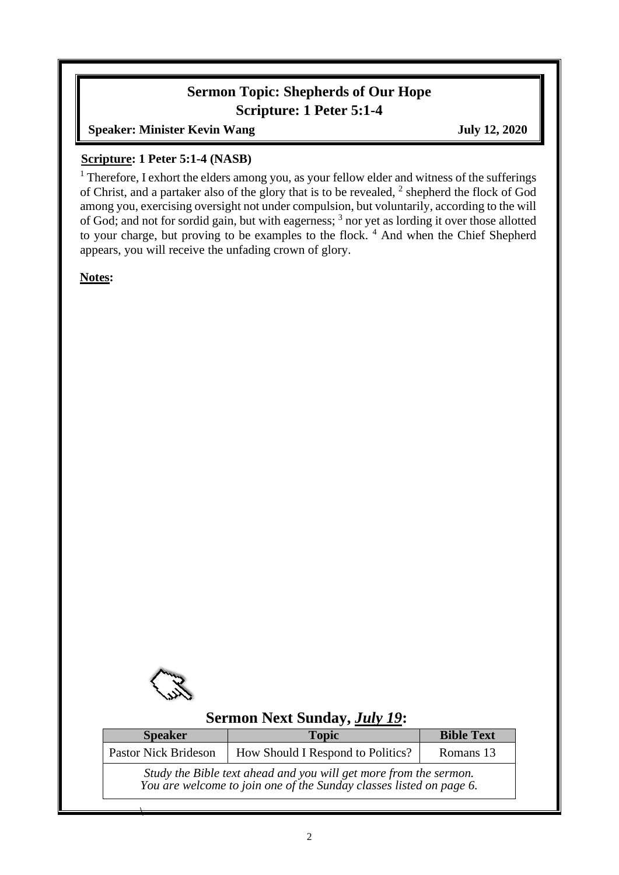# **Sermon Topic: Shepherds of Our Hope Scripture: 1 Peter 5:1-4**

**Speaker: Minister Kevin Wang July 12, 2020** 

#### **Scripture: 1 Peter 5:1-4 (NASB)**

<sup>1</sup> Therefore, I exhort the elders among you, as your fellow elder and witness of the sufferings of Christ, and a partaker also of the glory that is to be revealed,  $2$  shepherd the flock of God among you, exercising oversight not under compulsion, but voluntarily, according to the will of God; and not for sordid gain, but with eagerness; <sup>3</sup> nor yet as lording it over those allotted to your charge, but proving to be examples to the flock. <sup>4</sup> And when the Chief Shepherd appears, you will receive the unfading crown of glory.

**Notes:**



 $\overline{\phantom{a}}$ 

## **Sermon Next Sunday,** *July 19***:**

| <b>Speaker</b>              | <b>Topic</b>                                                                                                                             | <b>Bible Text</b> |
|-----------------------------|------------------------------------------------------------------------------------------------------------------------------------------|-------------------|
| <b>Pastor Nick Brideson</b> | How Should I Respond to Politics?                                                                                                        | Romans 13         |
|                             | Study the Bible text ahead and you will get more from the sermon.<br>You are welcome to join one of the Sunday classes listed on page 6. |                   |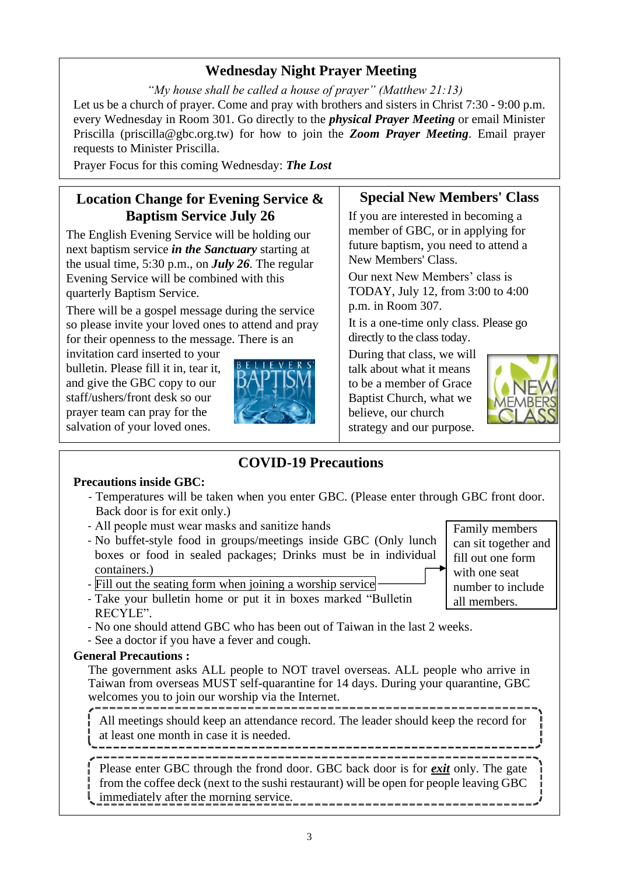# **Wednesday Night Prayer Meeting**

*"My house shall be called a house of prayer" (Matthew 21:13)* Let us be a church of prayer. Come and pray with brothers and sisters in Christ 7:30 - 9:00 p.m. every Wednesday in Room 301. Go directly to the *physical Prayer Meeting* or email Minister Priscilla (priscilla@gbc.org.tw) for how to join the *Zoom Prayer Meeting*. Email prayer requests to Minister Priscilla.

Prayer Focus for this coming Wednesday: *The Lost*

## **Location Change for Evening Service & Baptism Service July 26**

The English Evening Service will be holding our next baptism service *in the Sanctuary* starting at the usual time, 5:30 p.m., on *July 26*. The regular Evening Service will be combined with this quarterly Baptism Service.

There will be a gospel message during the service so please invite your loved ones to attend and pray for their openness to the message. There is an

invitation card inserted to your bulletin. Please fill it in, tear it, and give the GBC copy to our staff/ushers/front desk so our prayer team can pray for the salvation of your loved ones.



#### **Special New Members' Class**

If you are interested in becoming a member of GBC, or in applying for future baptism, you need to attend a New Members' Class.

Our next New Members' class is TODAY, July 12, from 3:00 to 4:00 p.m. in Room 307.

It is a one-time only class. Please go directly to the class today.

During that class, we will talk about what it means to be a member of Grace Baptist Church, what we believe, our church strategy and our purpose.



**COVID-19 Precautions**

#### **Precautions inside GBC:**

- Temperatures will be taken when you enter GBC. (Please enter through GBC front door. Back door is for exit only.)
- All people must wear masks and sanitize hands
- No buffet-style food in groups/meetings inside GBC (Only lunch boxes or food in sealed packages; Drinks must be in individual containers.)
- Fill out the seating form when joining a worship service
- Take your bulletin home or put it in boxes marked "Bulletin RECYLE".
- No one should attend GBC who has been out of Taiwan in the last 2 weeks.
- See a doctor if you have a fever and cough.

#### **General Precautions :**

The government asks ALL people to NOT travel overseas. ALL people who arrive in Taiwan from overseas MUST self-quarantine for 14 days. During your quarantine, GBC welcomes you to join our worship via the Internet.

All meetings should keep an attendance record. The leader should keep the record for at least one month in case it is needed.

Please enter GBC through the frond door. GBC back door is for *exit* only. The gate from the coffee deck (next to the sushi restaurant) will be open for people leaving GBC immediately after the morning service.

Family members can sit together and fill out one form with one seat number to include all members.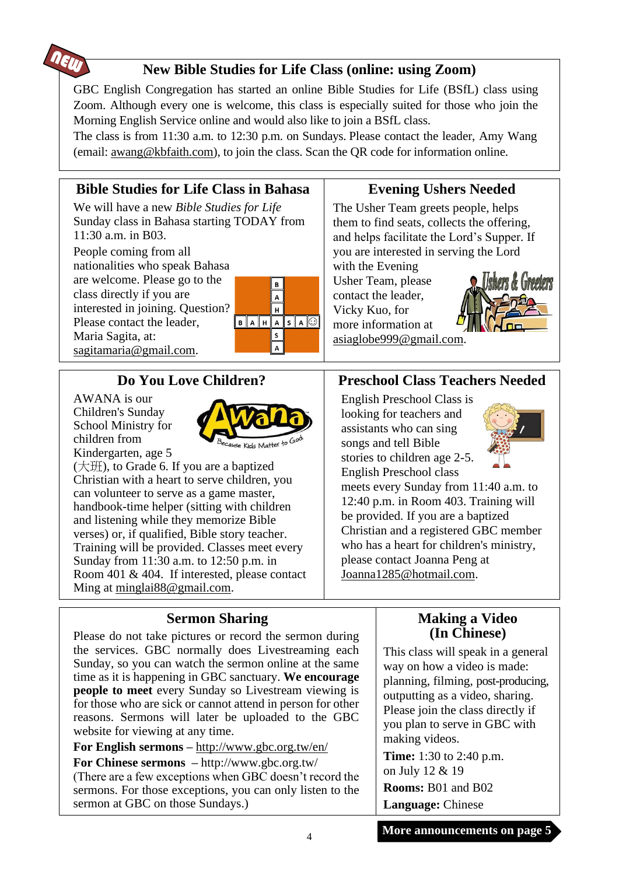

# **New Bible Studies for Life Class (online: using Zoom)**

GBC English Congregation has started an online Bible Studies for Life (BSfL) class using Zoom. Although every one is welcome, this class is especially suited for those who join the Morning English Service online and would also like to join a BSfL class.

The class is from 11:30 a.m. to 12:30 p.m. on Sundays. Please contact the leader, Amy Wang (email: [awang@kbfaith.com\)](mailto:awang@kbfaith.com), to join the class. Scan the QR code for information online.

# **Bible Studies for Life Class in Bahasa**

We will have a new *Bible Studies for Life* Sunday class in Bahasa starting TODAY from 11:30 a.m. in B03.

People coming from all nationalities who speak Bahasa are welcome. Please go to the class directly if you are interested in joining. Question? Please contact the leader, Maria Sagita, at: sagitamaria@gmail.com.



# **Do You Love Children?**

AWANA is our Children's Sunday School Ministry for children from Kindergarten, age 5



(大班), to Grade 6. If you are a baptized Christian with a heart to serve children, you can volunteer to serve as a game master, handbook-time helper (sitting with children and listening while they memorize Bible verses) or, if qualified, Bible story teacher. Training will be provided. Classes meet every Sunday from 11:30 a.m. to 12:50 p.m. in Room 401 & 404. If interested, please contact Ming at [minglai88@gmail.com.](mailto:minglai88@gmail.com)

# **Evening Ushers Needed**

The Usher Team greets people, helps them to find seats, collects the offering, and helps facilitate the Lord's Supper. If you are interested in serving the Lord

with the Evening Usher Team, please contact the leader, Vicky Kuo, for more information at [asiaglobe999@gmail.com.](mailto:asiaglobe999@gmail.com)



## **Preschool Class Teachers Needed**

English Preschool Class is looking for teachers and assistants who can sing songs and tell Bible stories to children age 2-5. English Preschool class



meets every Sunday from 11:40 a.m. to 12:40 p.m. in Room 403. Training will be provided. If you are a baptized Christian and a registered GBC member who has a heart for children's ministry, please contact Joanna Peng at Joanna1285@hotmail.com.

### **Sermon Sharing**

Please do not take pictures or record the sermon during the services. GBC normally does Livestreaming each Sunday, so you can watch the sermon online at the same time as it is happening in GBC sanctuary. **We encourage people to meet** every Sunday so Livestream viewing is for those who are sick or cannot attend in person for other reasons. Sermons will later be uploaded to the GBC website for viewing at any time.

**For English sermons –** <http://www.gbc.org.tw/en/> **For Chinese sermons –** <http://www.gbc.org.tw/>

(There are a few exceptions when GBC doesn't record the sermons. For those exceptions, you can only listen to the sermon at GBC on those Sundays.)

### **Making a Video (In Chinese)**

This class will speak in a general way on how a video is made: planning, filming, post-producing, outputting as a video, sharing. Please join the class directly if you plan to serve in GBC with making videos.

**Time:** 1:30 to 2:40 p.m. on July 12 & 19 **Rooms:** B01 and B02 **Language:** Chinese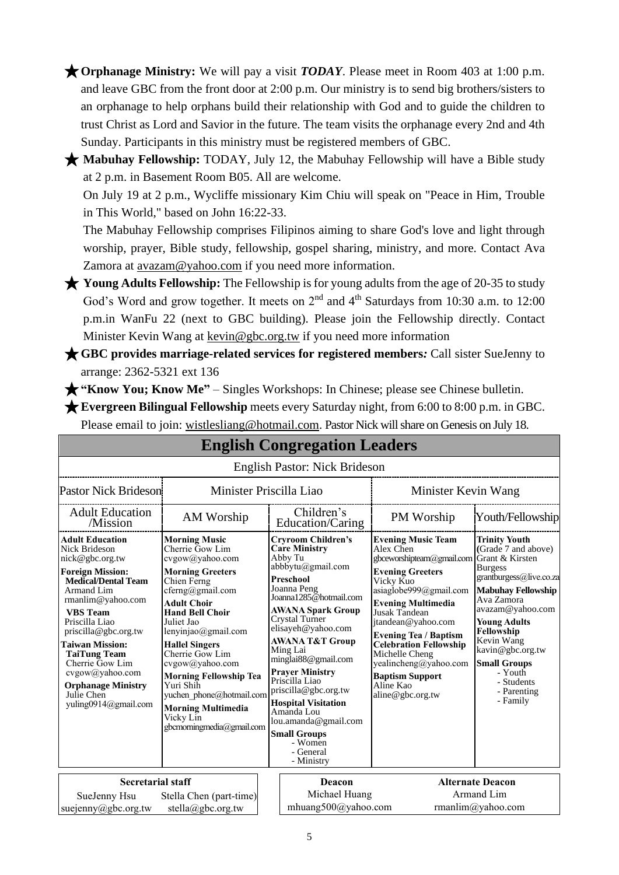★**Orphanage Ministry:** We will pay a visit *TODAY*. Please meet in Room 403 at 1:00 p.m. and leave GBC from the front door at 2:00 p.m. Our ministry is to send big brothers/sisters to an orphanage to help orphans build their relationship with God and to guide the children to trust Christ as Lord and Savior in the future. The team visits the orphanage every 2nd and 4th Sunday. Participants in this ministry must be registered members of GBC.

★ Mabuhay Fellowship: TODAY, July 12, the Mabuhay Fellowship will have a Bible study at 2 p.m. in Basement Room B05. All are welcome.

On July 19 at 2 p.m., Wycliffe missionary Kim Chiu will speak on "Peace in Him, Trouble in This World," based on John 16:22-33.

The Mabuhay Fellowship comprises Filipinos aiming to share God's love and light through worship, prayer, Bible study, fellowship, gospel sharing, ministry, and more. Contact Ava Zamora at <u>avazam@yahoo.com</u> if you need more information.

★ **Young Adults Fellowship:** The Fellowship is for young adults from the age of 20-35 to study God's Word and grow together. It meets on 2<sup>nd</sup> and 4<sup>th</sup> Saturdays from 10:30 a.m. to 12:00 p.m.in WanFu 22 (next to GBC building). Please join the Fellowship directly. Contact Minister Kevin Wang at kevin@gbc.org.tw if you need more information

★**GBC provides marriage-related services for registered members***:* Call sister SueJenny to arrange: 2362-5321 ext 136

★**"Know You; Know Me"** – Singles Workshops: In Chinese; please see Chinese bulletin.

★**Evergreen Bilingual Fellowship** meets every Saturday night, from 6:00 to 8:00 p.m. in GBC. Please email to join: [wistlesliang@hotmail.com.](mailto:wistlesliang@hotmail.com) Pastor Nick will share on Genesis on July 18.

|                                                                                                                                                                                                                                                                                                                                                                               |                                                                                                                                                                                                                                                                                                                                                                                                                                    | <b>English Congregation Leaders</b>                                                                                                                                                                                                                                                                                                                                                                                                                                               |                                                                                                                                                                                                                                                                                                                                                                                                  |                                                                                                                                                                                                                                                                                                           |
|-------------------------------------------------------------------------------------------------------------------------------------------------------------------------------------------------------------------------------------------------------------------------------------------------------------------------------------------------------------------------------|------------------------------------------------------------------------------------------------------------------------------------------------------------------------------------------------------------------------------------------------------------------------------------------------------------------------------------------------------------------------------------------------------------------------------------|-----------------------------------------------------------------------------------------------------------------------------------------------------------------------------------------------------------------------------------------------------------------------------------------------------------------------------------------------------------------------------------------------------------------------------------------------------------------------------------|--------------------------------------------------------------------------------------------------------------------------------------------------------------------------------------------------------------------------------------------------------------------------------------------------------------------------------------------------------------------------------------------------|-----------------------------------------------------------------------------------------------------------------------------------------------------------------------------------------------------------------------------------------------------------------------------------------------------------|
|                                                                                                                                                                                                                                                                                                                                                                               |                                                                                                                                                                                                                                                                                                                                                                                                                                    | <b>English Pastor: Nick Brideson</b>                                                                                                                                                                                                                                                                                                                                                                                                                                              |                                                                                                                                                                                                                                                                                                                                                                                                  |                                                                                                                                                                                                                                                                                                           |
| <b>Pastor Nick Brideson</b>                                                                                                                                                                                                                                                                                                                                                   | Minister Priscilla Liao                                                                                                                                                                                                                                                                                                                                                                                                            |                                                                                                                                                                                                                                                                                                                                                                                                                                                                                   | Minister Kevin Wang                                                                                                                                                                                                                                                                                                                                                                              |                                                                                                                                                                                                                                                                                                           |
| <b>Adult Education</b><br>/Mission                                                                                                                                                                                                                                                                                                                                            | AM Worship                                                                                                                                                                                                                                                                                                                                                                                                                         | Children's<br>Education/Caring                                                                                                                                                                                                                                                                                                                                                                                                                                                    | PM Worship                                                                                                                                                                                                                                                                                                                                                                                       | Youth/Fellowship                                                                                                                                                                                                                                                                                          |
| <b>Adult Education</b><br><b>Nick Brideson</b><br>nick@gbc.org.tw<br><b>Foreign Mission:</b><br><b>Medical/Dental Team</b><br>Armand Lim<br>rmanlim@yahoo.com<br><b>VBS</b> Team<br>Priscilla Liao<br>priscilla@gbc.org.tw<br>Taiwan Mission:<br><b>TaiTung Team</b><br>Cherrie Gow Lim<br>cvgow@yahoo.com<br><b>Orphanage Ministry</b><br>Julie Chen<br>yuling0914@gmail.com | <b>Morning Music</b><br>Cherrie Gow Lim<br>cvgow@yahoo.com<br><b>Morning Greeters</b><br>Chien Ferng<br>$cferng(a)$ gmail.com<br><b>Adult Choir</b><br><b>Hand Bell Choir</b><br>Juliet Jao<br>lenyinjao@gmail.com<br><b>Hallel Singers</b><br>Cherrie Gow Lim<br>cvgow@yahoo.com<br><b>Morning Fellowship Tea</b><br>Yuri Shih<br>yuchen phone@hotmail.com<br><b>Morning Multimedia</b><br>Vicky Lin<br>gbcmorningmedia@gmail.com | <b>Cryroom Children's</b><br><b>Care Ministry</b><br>Abby Tu<br>abbbytu@gmail.com<br>Preschool<br>Joanna Peng<br>Joanna1285@hotmail.com<br><b>AWANA Spark Group</b><br>Crystal Turner<br>elisayeh@yahoo.com<br><b>AWANA T&amp;T Group</b><br>Ming Lai<br>minglai88@gmail.com<br><b>Prayer Ministry</b><br>Priscilla Liao<br>priscilla@gbc.org.tw<br><b>Hospital Visitation</b><br>Amanda Lou<br>lou.amanda@gmail.com<br><b>Small Groups</b><br>- Women<br>- General<br>- Ministry | <b>Evening Music Team</b><br>Alex Chen<br>gbceworshipteam@gmail.com Grant & Kirsten<br><b>Evening Greeters</b><br>Vicky Kuo<br>asiaglobe999@gmail.com<br><b>Evening Multimedia</b><br>Jusak Tandean<br>jtandean@yahoo.com<br><b>Evening Tea / Baptism</b><br><b>Celebration Fellowship</b><br>Michelle Cheng<br>yealincheng@yahoo.com<br><b>Baptism Support</b><br>Aline Kao<br>aline@gbc.org.tw | <b>Trinity Youth</b><br>(Grade 7 and above)<br><b>Burgess</b><br>grantburgess@live.co.za<br><b>Mabuhay Fellowship</b><br>Ava Zamora<br>avazam@yahoo.com<br><b>Young Adults</b><br>Fellowship<br>Kevin Wang<br>kavin@gbc.org.tw<br><b>Small Groups</b><br>- Youth<br>- Students<br>- Parenting<br>- Family |
| <b>Secretarial staff</b>                                                                                                                                                                                                                                                                                                                                                      |                                                                                                                                                                                                                                                                                                                                                                                                                                    | Deacon                                                                                                                                                                                                                                                                                                                                                                                                                                                                            |                                                                                                                                                                                                                                                                                                                                                                                                  | <b>Alternate Deacon</b>                                                                                                                                                                                                                                                                                   |
| SueJenny Hsu<br>suejenny@gbc.org.tw                                                                                                                                                                                                                                                                                                                                           | Stella Chen (part-time)<br>stella@gbc.org.tw                                                                                                                                                                                                                                                                                                                                                                                       | Michael Huang<br>mhuang500@yahoo.com                                                                                                                                                                                                                                                                                                                                                                                                                                              |                                                                                                                                                                                                                                                                                                                                                                                                  | Armand Lim<br>rmanlim@yahoo.com                                                                                                                                                                                                                                                                           |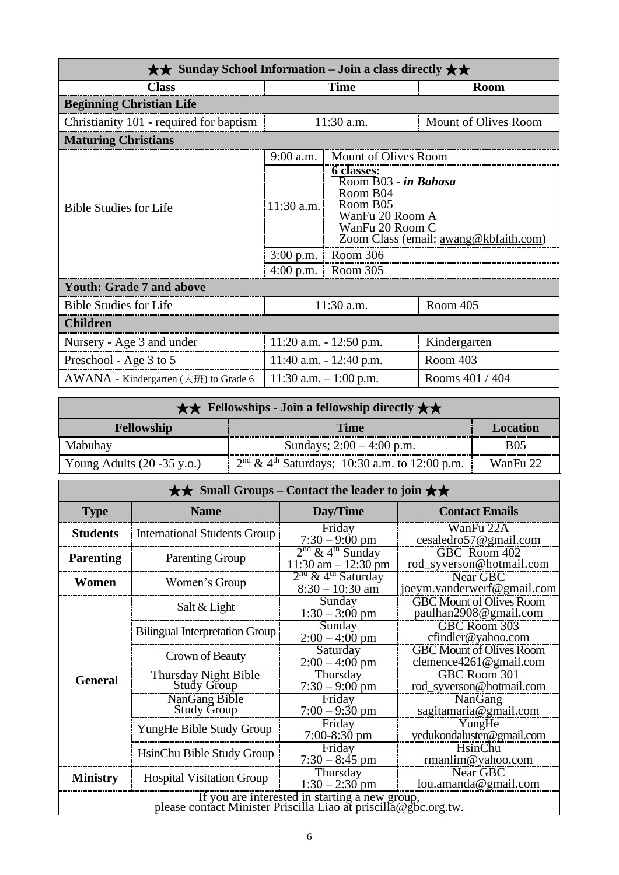| $\star\star$ Sunday School Information – Join a class directly $\star\star$ |                             |                                                                                                              |                                       |  |
|-----------------------------------------------------------------------------|-----------------------------|--------------------------------------------------------------------------------------------------------------|---------------------------------------|--|
| <b>Class</b>                                                                |                             | <b>Time</b>                                                                                                  | <b>Room</b>                           |  |
| <b>Beginning Christian Life</b>                                             |                             |                                                                                                              |                                       |  |
| Christianity 101 - required for baptism                                     |                             | 11:30 a.m.                                                                                                   | Mount of Olives Room                  |  |
| <b>Maturing Christians</b>                                                  |                             |                                                                                                              |                                       |  |
|                                                                             | 9:00 a.m.                   | Mount of Olives Room                                                                                         |                                       |  |
| <b>Bible Studies for Life</b>                                               | $11:30$ a.m.<br>$3:00$ p.m. | 6 classes:<br>Room B03 - in Bahasa<br>Room B04<br>Room B05<br>WanFu 20 Room A<br>WanFu 20 Room C<br>Room 306 | Zoom Class (email: awang@kbfaith.com) |  |
|                                                                             | $4:00$ p.m.                 | Room 305                                                                                                     |                                       |  |
| <b>Youth: Grade 7 and above</b>                                             |                             |                                                                                                              |                                       |  |
| <b>Bible Studies for Life</b>                                               |                             | 11:30 a.m.                                                                                                   | Room 405                              |  |
| <b>Children</b>                                                             |                             |                                                                                                              |                                       |  |
| Nursery - Age 3 and under                                                   |                             | 11:20 a.m. - 12:50 p.m.                                                                                      | Kindergarten                          |  |
| Preschool - Age 3 to 5                                                      |                             | 11:40 a.m. $- 12:40$ p.m.                                                                                    | Room 403                              |  |
| $AWANA$ - Kindergarten ( $\pm \text{ff}$ ) to Grade 6                       |                             | 11:30 a.m. $-1:00$ p.m.                                                                                      | Rooms 401 / 404                       |  |

| $\star \star$ Fellowships - Join a fellowship directly $\star \star$ |                                                  |            |  |  |
|----------------------------------------------------------------------|--------------------------------------------------|------------|--|--|
| <b>Fellowship</b>                                                    | <b>Time</b>                                      | Location   |  |  |
| Mabuhay                                                              | Sundays; $2:00 - 4:00$ p.m.                      | <b>B05</b> |  |  |
| Young Adults $(20 - 35 \text{ y.o.})$                                | $2nd \& 4th$ Saturdays; 10:30 a.m. to 12:00 p.m. | WanFu 22   |  |  |

| $\star\star$ Small Groups – Contact the leader to join $\star\star$                                               |                                       |                                                          |                                                           |  |  |
|-------------------------------------------------------------------------------------------------------------------|---------------------------------------|----------------------------------------------------------|-----------------------------------------------------------|--|--|
| <b>Type</b>                                                                                                       | <b>Name</b>                           | Day/Time                                                 | <b>Contact Emails</b>                                     |  |  |
| <b>Students</b>                                                                                                   | <b>International Students Group</b>   | Friday<br>$7:30 - 9:00$ pm                               | WanFu 22A<br>cesaledro57@gmail.com                        |  |  |
| <b>Parenting</b>                                                                                                  | <b>Parenting Group</b>                | $2nd$ & 4 <sup>th</sup> Sunday<br>$11:30$ am $-12:30$ pm | GBC Room 402<br>rod_syverson@hotmail.com                  |  |  |
| Women                                                                                                             | Women's Group                         | $2nd$ & 4 <sup>th</sup> Saturday<br>$8:30 - 10:30$ am    | Near GBC<br>joeym.vanderwerf@gmail.com                    |  |  |
|                                                                                                                   | Salt & Light                          | Sunday<br>$1:30 - 3:00$ pm                               | <b>GBC Mount of Olives Room</b><br>paulhan2908@gmail.com  |  |  |
|                                                                                                                   | <b>Bilingual Interpretation Group</b> | Sunday<br>$2:00 - 4:00$ pm                               | GBC Room 303<br>cfindler@yahoo.com                        |  |  |
|                                                                                                                   | Crown of Beauty                       | Saturday<br>$2:00 - 4:00$ pm                             | <b>GBC Mount of Olives Room</b><br>clemence4261@gmail.com |  |  |
| <b>General</b>                                                                                                    | Thursday Night Bible<br>Study Group   | Thursday<br>$7:30 - 9:00$ pm                             | GBC Room 301<br>rod_syverson@hotmail.com                  |  |  |
|                                                                                                                   | NanGang Bible<br><b>Study Group</b>   | Friday<br>$7:00 - 9:30$ pm                               | NanGang<br>sagitamaria@gmail.com                          |  |  |
|                                                                                                                   | YungHe Bible Study Group              | Friday<br>$7:00-8:30$ pm                                 | YungHe<br>yedukondaluster@gmail.com                       |  |  |
|                                                                                                                   | HsinChu Bible Study Group             | Friday<br>$7:30 - 8:45$ pm                               | HsinChu<br>rmanlim@yahoo.com                              |  |  |
| <b>Ministry</b>                                                                                                   | <b>Hospital Visitation Group</b>      | Thursday<br>$1:30 - 2:30$ pm                             | Near GBC<br>lou.amanda@gmail.com                          |  |  |
| If you are interested in starting a new group,<br>please contact Minister Priscilla Liao at priscilla@gbc.org.tw. |                                       |                                                          |                                                           |  |  |